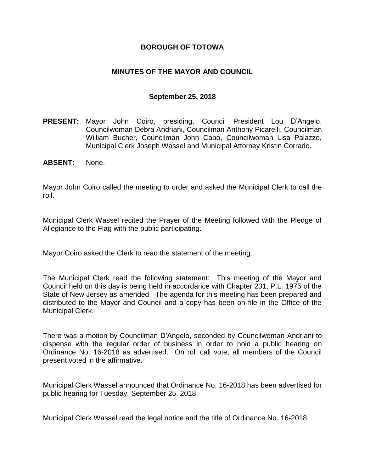### **BOROUGH OF TOTOWA**

### **MINUTES OF THE MAYOR AND COUNCIL**

#### **September 25, 2018**

- **PRESENT:** Mayor John Coiro, presiding, Council President Lou D'Angelo, Councilwoman Debra Andriani, Councilman Anthony Picarelli, Councilman William Bucher, Councilman John Capo, Councilwoman Lisa Palazzo, Municipal Clerk Joseph Wassel and Municipal Attorney Kristin Corrado.
- **ABSENT:** None.

Mayor John Coiro called the meeting to order and asked the Municipal Clerk to call the roll.

Municipal Clerk Wassel recited the Prayer of the Meeting followed with the Pledge of Allegiance to the Flag with the public participating.

Mayor Coiro asked the Clerk to read the statement of the meeting.

The Municipal Clerk read the following statement: This meeting of the Mayor and Council held on this day is being held in accordance with Chapter 231, P.L. 1975 of the State of New Jersey as amended. The agenda for this meeting has been prepared and distributed to the Mayor and Council and a copy has been on file in the Office of the Municipal Clerk.

There was a motion by Councilman D'Angelo, seconded by Councilwoman Andriani to dispense with the regular order of business in order to hold a public hearing on Ordinance No. 16-2018 as advertised. On roll call vote, all members of the Council present voted in the affirmative.

Municipal Clerk Wassel announced that Ordinance No. 16-2018 has been advertised for public hearing for Tuesday, September 25, 2018.

Municipal Clerk Wassel read the legal notice and the title of Ordinance No. 16-2018.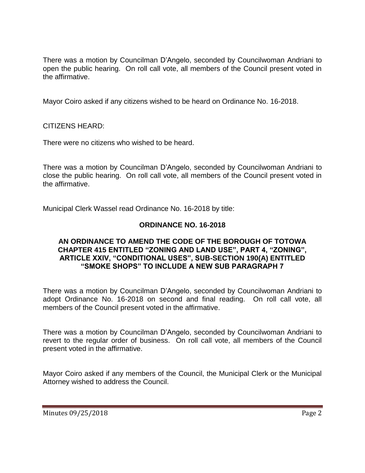There was a motion by Councilman D'Angelo, seconded by Councilwoman Andriani to open the public hearing. On roll call vote, all members of the Council present voted in the affirmative.

Mayor Coiro asked if any citizens wished to be heard on Ordinance No. 16-2018.

CITIZENS HEARD:

There were no citizens who wished to be heard.

There was a motion by Councilman D'Angelo, seconded by Councilwoman Andriani to close the public hearing. On roll call vote, all members of the Council present voted in the affirmative.

Municipal Clerk Wassel read Ordinance No. 16-2018 by title:

## **ORDINANCE NO. 16-2018**

#### **AN ORDINANCE TO AMEND THE CODE OF THE BOROUGH OF TOTOWA CHAPTER 415 ENTITLED "ZONING AND LAND USE", PART 4, "ZONING", ARTICLE XXIV, "CONDITIONAL USES", SUB-SECTION 190(A) ENTITLED "SMOKE SHOPS" TO INCLUDE A NEW SUB PARAGRAPH 7**

There was a motion by Councilman D'Angelo, seconded by Councilwoman Andriani to adopt Ordinance No. 16-2018 on second and final reading. On roll call vote, all members of the Council present voted in the affirmative.

There was a motion by Councilman D'Angelo, seconded by Councilwoman Andriani to revert to the regular order of business. On roll call vote, all members of the Council present voted in the affirmative.

Mayor Coiro asked if any members of the Council, the Municipal Clerk or the Municipal Attorney wished to address the Council.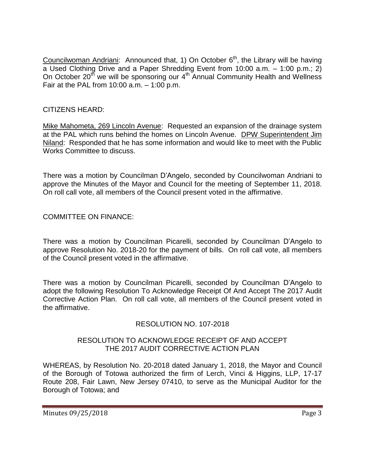Councilwoman Andriani: Announced that, 1) On October 6<sup>th</sup>, the Library will be having a Used Clothing Drive and a Paper Shredding Event from 10:00 a.m. – 1:00 p.m.; 2) On October 20<sup>th</sup> we will be sponsoring our 4<sup>th</sup> Annual Community Health and Wellness Fair at the PAL from 10:00 a.m. – 1:00 p.m.

# CITIZENS HEARD:

Mike Mahometa, 269 Lincoln Avenue: Requested an expansion of the drainage system at the PAL which runs behind the homes on Lincoln Avenue. DPW Superintendent Jim Niland: Responded that he has some information and would like to meet with the Public Works Committee to discuss.

There was a motion by Councilman D'Angelo, seconded by Councilwoman Andriani to approve the Minutes of the Mayor and Council for the meeting of September 11, 2018. On roll call vote, all members of the Council present voted in the affirmative.

COMMITTEE ON FINANCE:

There was a motion by Councilman Picarelli, seconded by Councilman D'Angelo to approve Resolution No. 2018-20 for the payment of bills. On roll call vote, all members of the Council present voted in the affirmative.

There was a motion by Councilman Picarelli, seconded by Councilman D'Angelo to adopt the following Resolution To Acknowledge Receipt Of And Accept The 2017 Audit Corrective Action Plan. On roll call vote, all members of the Council present voted in the affirmative.

# RESOLUTION NO. 107-2018

### RESOLUTION TO ACKNOWLEDGE RECEIPT OF AND ACCEPT THE 2017 AUDIT CORRECTIVE ACTION PLAN

WHEREAS, by Resolution No. 20-2018 dated January 1, 2018, the Mayor and Council of the Borough of Totowa authorized the firm of Lerch, Vinci & Higgins, LLP, 17-17 Route 208, Fair Lawn, New Jersey 07410, to serve as the Municipal Auditor for the Borough of Totowa; and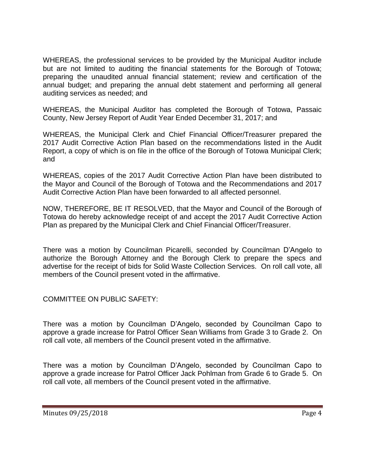WHEREAS, the professional services to be provided by the Municipal Auditor include but are not limited to auditing the financial statements for the Borough of Totowa; preparing the unaudited annual financial statement; review and certification of the annual budget; and preparing the annual debt statement and performing all general auditing services as needed; and

WHEREAS, the Municipal Auditor has completed the Borough of Totowa, Passaic County, New Jersey Report of Audit Year Ended December 31, 2017; and

WHEREAS, the Municipal Clerk and Chief Financial Officer/Treasurer prepared the 2017 Audit Corrective Action Plan based on the recommendations listed in the Audit Report, a copy of which is on file in the office of the Borough of Totowa Municipal Clerk; and

WHEREAS, copies of the 2017 Audit Corrective Action Plan have been distributed to the Mayor and Council of the Borough of Totowa and the Recommendations and 2017 Audit Corrective Action Plan have been forwarded to all affected personnel.

NOW, THEREFORE, BE IT RESOLVED, that the Mayor and Council of the Borough of Totowa do hereby acknowledge receipt of and accept the 2017 Audit Corrective Action Plan as prepared by the Municipal Clerk and Chief Financial Officer/Treasurer.

There was a motion by Councilman Picarelli, seconded by Councilman D'Angelo to authorize the Borough Attorney and the Borough Clerk to prepare the specs and advertise for the receipt of bids for Solid Waste Collection Services. On roll call vote, all members of the Council present voted in the affirmative.

COMMITTEE ON PUBLIC SAFETY:

There was a motion by Councilman D'Angelo, seconded by Councilman Capo to approve a grade increase for Patrol Officer Sean Williams from Grade 3 to Grade 2. On roll call vote, all members of the Council present voted in the affirmative.

There was a motion by Councilman D'Angelo, seconded by Councilman Capo to approve a grade increase for Patrol Officer Jack Pohlman from Grade 6 to Grade 5. On roll call vote, all members of the Council present voted in the affirmative.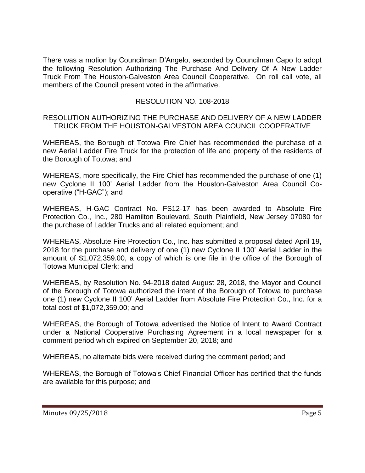There was a motion by Councilman D'Angelo, seconded by Councilman Capo to adopt the following Resolution Authorizing The Purchase And Delivery Of A New Ladder Truck From The Houston-Galveston Area Council Cooperative. On roll call vote, all members of the Council present voted in the affirmative.

# RESOLUTION NO. 108-2018

#### RESOLUTION AUTHORIZING THE PURCHASE AND DELIVERY OF A NEW LADDER TRUCK FROM THE HOUSTON-GALVESTON AREA COUNCIL COOPERATIVE

WHEREAS, the Borough of Totowa Fire Chief has recommended the purchase of a new Aerial Ladder Fire Truck for the protection of life and property of the residents of the Borough of Totowa; and

WHEREAS, more specifically, the Fire Chief has recommended the purchase of one (1) new Cyclone II 100' Aerial Ladder from the Houston-Galveston Area Council Cooperative ("H-GAC"); and

WHEREAS, H-GAC Contract No. FS12-17 has been awarded to Absolute Fire Protection Co., Inc., 280 Hamilton Boulevard, South Plainfield, New Jersey 07080 for the purchase of Ladder Trucks and all related equipment; and

WHEREAS, Absolute Fire Protection Co., Inc. has submitted a proposal dated April 19, 2018 for the purchase and delivery of one (1) new Cyclone II 100' Aerial Ladder in the amount of \$1,072,359.00, a copy of which is one file in the office of the Borough of Totowa Municipal Clerk; and

WHEREAS, by Resolution No. 94-2018 dated August 28, 2018, the Mayor and Council of the Borough of Totowa authorized the intent of the Borough of Totowa to purchase one (1) new Cyclone II 100' Aerial Ladder from Absolute Fire Protection Co., Inc. for a total cost of \$1,072,359.00; and

WHEREAS, the Borough of Totowa advertised the Notice of Intent to Award Contract under a National Cooperative Purchasing Agreement in a local newspaper for a comment period which expired on September 20, 2018; and

WHEREAS, no alternate bids were received during the comment period; and

WHEREAS, the Borough of Totowa's Chief Financial Officer has certified that the funds are available for this purpose; and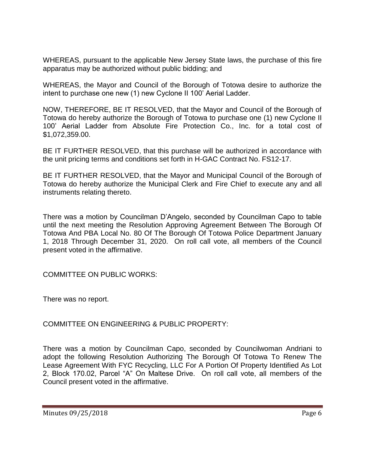WHEREAS, pursuant to the applicable New Jersey State laws, the purchase of this fire apparatus may be authorized without public bidding; and

WHEREAS, the Mayor and Council of the Borough of Totowa desire to authorize the intent to purchase one new (1) new Cyclone II 100' Aerial Ladder.

NOW, THEREFORE, BE IT RESOLVED, that the Mayor and Council of the Borough of Totowa do hereby authorize the Borough of Totowa to purchase one (1) new Cyclone II 100' Aerial Ladder from Absolute Fire Protection Co., Inc. for a total cost of \$1,072,359.00.

BE IT FURTHER RESOLVED, that this purchase will be authorized in accordance with the unit pricing terms and conditions set forth in H-GAC Contract No. FS12-17.

BE IT FURTHER RESOLVED, that the Mayor and Municipal Council of the Borough of Totowa do hereby authorize the Municipal Clerk and Fire Chief to execute any and all instruments relating thereto.

There was a motion by Councilman D'Angelo, seconded by Councilman Capo to table until the next meeting the Resolution Approving Agreement Between The Borough Of Totowa And PBA Local No. 80 Of The Borough Of Totowa Police Department January 1, 2018 Through December 31, 2020. On roll call vote, all members of the Council present voted in the affirmative.

COMMITTEE ON PUBLIC WORKS:

There was no report.

COMMITTEE ON ENGINEERING & PUBLIC PROPERTY:

There was a motion by Councilman Capo, seconded by Councilwoman Andriani to adopt the following Resolution Authorizing The Borough Of Totowa To Renew The Lease Agreement With FYC Recycling, LLC For A Portion Of Property Identified As Lot 2, Block 170.02, Parcel "A" On Maltese Drive. On roll call vote, all members of the Council present voted in the affirmative.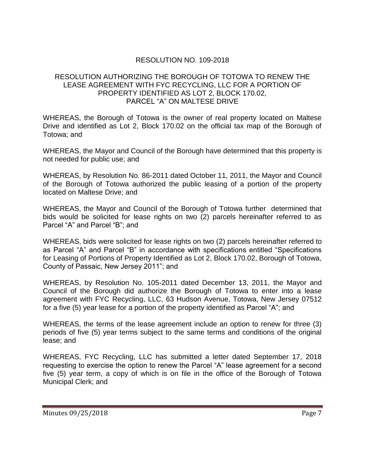# RESOLUTION NO. 109-2018

#### RESOLUTION AUTHORIZING THE BOROUGH OF TOTOWA TO RENEW THE LEASE AGREEMENT WITH FYC RECYCLING, LLC FOR A PORTION OF PROPERTY IDENTIFIED AS LOT 2, BLOCK 170.02, PARCEL "A" ON MALTESE DRIVE

WHEREAS, the Borough of Totowa is the owner of real property located on Maltese Drive and identified as Lot 2, Block 170.02 on the official tax map of the Borough of Totowa; and

WHEREAS, the Mayor and Council of the Borough have determined that this property is not needed for public use; and

WHEREAS, by Resolution No. 86-2011 dated October 11, 2011, the Mayor and Council of the Borough of Totowa authorized the public leasing of a portion of the property located on Maltese Drive; and

WHEREAS, the Mayor and Council of the Borough of Totowa further determined that bids would be solicited for lease rights on two (2) parcels hereinafter referred to as Parcel "A" and Parcel "B"; and

WHEREAS, bids were solicited for lease rights on two (2) parcels hereinafter referred to as Parcel "A" and Parcel "B" in accordance with specifications entitled "Specifications for Leasing of Portions of Property Identified as Lot 2, Block 170.02, Borough of Totowa, County of Passaic, New Jersey 2011"; and

WHEREAS, by Resolution No. 105-2011 dated December 13, 2011, the Mayor and Council of the Borough did authorize the Borough of Totowa to enter into a lease agreement with FYC Recycling, LLC, 63 Hudson Avenue, Totowa, New Jersey 07512 for a five (5) year lease for a portion of the property identified as Parcel "A"; and

WHEREAS, the terms of the lease agreement include an option to renew for three (3) periods of five (5) year terms subject to the same terms and conditions of the original lease; and

WHEREAS, FYC Recycling, LLC has submitted a letter dated September 17, 2018 requesting to exercise the option to renew the Parcel "A" lease agreement for a second five (5) year term, a copy of which is on file in the office of the Borough of Totowa Municipal Clerk; and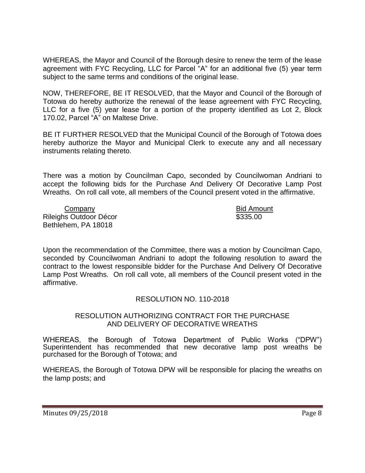WHEREAS, the Mayor and Council of the Borough desire to renew the term of the lease agreement with FYC Recycling, LLC for Parcel "A" for an additional five (5) year term subject to the same terms and conditions of the original lease.

NOW, THEREFORE, BE IT RESOLVED, that the Mayor and Council of the Borough of Totowa do hereby authorize the renewal of the lease agreement with FYC Recycling, LLC for a five (5) year lease for a portion of the property identified as Lot 2, Block 170.02, Parcel "A" on Maltese Drive.

BE IT FURTHER RESOLVED that the Municipal Council of the Borough of Totowa does hereby authorize the Mayor and Municipal Clerk to execute any and all necessary instruments relating thereto.

There was a motion by Councilman Capo, seconded by Councilwoman Andriani to accept the following bids for the Purchase And Delivery Of Decorative Lamp Post Wreaths. On roll call vote, all members of the Council present voted in the affirmative.

Company Bid Amount Rileighs Outdoor Décor **\$335.00** Bethlehem, PA 18018

Upon the recommendation of the Committee, there was a motion by Councilman Capo, seconded by Councilwoman Andriani to adopt the following resolution to award the contract to the lowest responsible bidder for the Purchase And Delivery Of Decorative Lamp Post Wreaths. On roll call vote, all members of the Council present voted in the affirmative.

## RESOLUTION NO. 110-2018

#### RESOLUTION AUTHORIZING CONTRACT FOR THE PURCHASE AND DELIVERY OF DECORATIVE WREATHS

WHEREAS, the Borough of Totowa Department of Public Works ("DPW") Superintendent has recommended that new decorative lamp post wreaths be purchased for the Borough of Totowa; and

WHEREAS, the Borough of Totowa DPW will be responsible for placing the wreaths on the lamp posts; and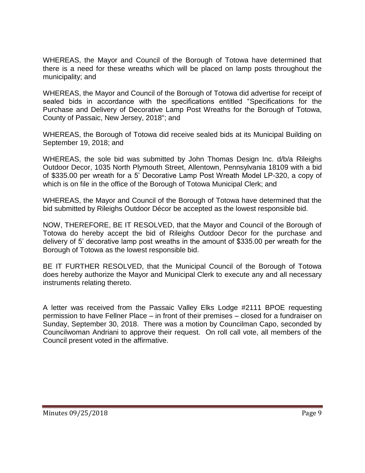WHEREAS, the Mayor and Council of the Borough of Totowa have determined that there is a need for these wreaths which will be placed on lamp posts throughout the municipality; and

WHEREAS, the Mayor and Council of the Borough of Totowa did advertise for receipt of sealed bids in accordance with the specifications entitled "Specifications for the Purchase and Delivery of Decorative Lamp Post Wreaths for the Borough of Totowa, County of Passaic, New Jersey, 2018"; and

WHEREAS, the Borough of Totowa did receive sealed bids at its Municipal Building on September 19, 2018; and

WHEREAS, the sole bid was submitted by John Thomas Design Inc. d/b/a Rileighs Outdoor Decor, 1035 North Plymouth Street, Allentown, Pennsylvania 18109 with a bid of \$335.00 per wreath for a 5' Decorative Lamp Post Wreath Model LP-320, a copy of which is on file in the office of the Borough of Totowa Municipal Clerk; and

WHEREAS, the Mayor and Council of the Borough of Totowa have determined that the bid submitted by Rileighs Outdoor Décor be accepted as the lowest responsible bid.

NOW, THEREFORE, BE IT RESOLVED, that the Mayor and Council of the Borough of Totowa do hereby accept the bid of Rileighs Outdoor Decor for the purchase and delivery of 5' decorative lamp post wreaths in the amount of \$335.00 per wreath for the Borough of Totowa as the lowest responsible bid.

BE IT FURTHER RESOLVED, that the Municipal Council of the Borough of Totowa does hereby authorize the Mayor and Municipal Clerk to execute any and all necessary instruments relating thereto.

A letter was received from the Passaic Valley Elks Lodge #2111 BPOE requesting permission to have Fellner Place – in front of their premises – closed for a fundraiser on Sunday, September 30, 2018. There was a motion by Councilman Capo, seconded by Councilwoman Andriani to approve their request. On roll call vote, all members of the Council present voted in the affirmative.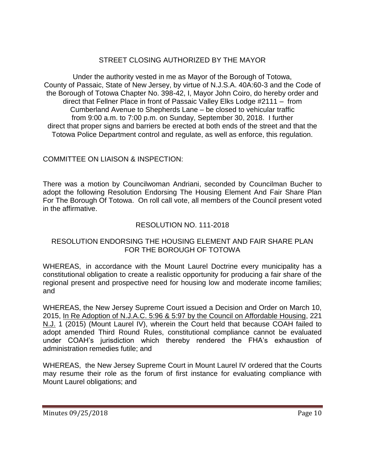# STREET CLOSING AUTHORIZED BY THE MAYOR

Under the authority vested in me as Mayor of the Borough of Totowa, County of Passaic, State of New Jersey, by virtue of N.J.S.A. 40A:60-3 and the Code of the Borough of Totowa Chapter No. 398-42, I, Mayor John Coiro, do hereby order and direct that Fellner Place in front of Passaic Valley Elks Lodge #2111 – from Cumberland Avenue to Shepherds Lane – be closed to vehicular traffic from 9:00 a.m. to 7:00 p.m. on Sunday, September 30, 2018. I further direct that proper signs and barriers be erected at both ends of the street and that the Totowa Police Department control and regulate, as well as enforce, this regulation.

## COMMITTEE ON LIAISON & INSPECTION:

There was a motion by Councilwoman Andriani, seconded by Councilman Bucher to adopt the following Resolution Endorsing The Housing Element And Fair Share Plan For The Borough Of Totowa. On roll call vote, all members of the Council present voted in the affirmative.

## RESOLUTION NO. 111-2018

### RESOLUTION ENDORSING THE HOUSING ELEMENT AND FAIR SHARE PLAN FOR THE BOROUGH OF TOTOWA

WHEREAS, in accordance with the Mount Laurel Doctrine every municipality has a constitutional obligation to create a realistic opportunity for producing a fair share of the regional present and prospective need for housing low and moderate income families; and

WHEREAS, the New Jersey Supreme Court issued a Decision and Order on March 10, 2015, In Re Adoption of N.J.A.C. 5:96 & 5:97 by the Council on Affordable Housing, 221 N.J. 1 (2015) (Mount Laurel IV), wherein the Court held that because COAH failed to adopt amended Third Round Rules, constitutional compliance cannot be evaluated under COAH's jurisdiction which thereby rendered the FHA's exhaustion of administration remedies futile; and

WHEREAS, the New Jersey Supreme Court in Mount Laurel IV ordered that the Courts may resume their role as the forum of first instance for evaluating compliance with Mount Laurel obligations; and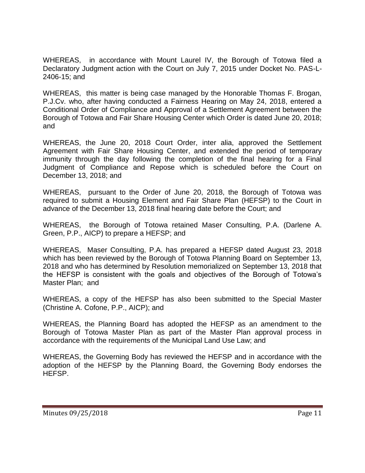WHEREAS, in accordance with Mount Laurel IV, the Borough of Totowa filed a Declaratory Judgment action with the Court on July 7, 2015 under Docket No. PAS-L-2406-15; and

WHEREAS, this matter is being case managed by the Honorable Thomas F. Brogan, P.J.Cv. who, after having conducted a Fairness Hearing on May 24, 2018, entered a Conditional Order of Compliance and Approval of a Settlement Agreement between the Borough of Totowa and Fair Share Housing Center which Order is dated June 20, 2018; and

WHEREAS, the June 20, 2018 Court Order, inter alia, approved the Settlement Agreement with Fair Share Housing Center, and extended the period of temporary immunity through the day following the completion of the final hearing for a Final Judgment of Compliance and Repose which is scheduled before the Court on December 13, 2018; and

WHEREAS, pursuant to the Order of June 20, 2018, the Borough of Totowa was required to submit a Housing Element and Fair Share Plan (HEFSP) to the Court in advance of the December 13, 2018 final hearing date before the Court; and

WHEREAS, the Borough of Totowa retained Maser Consulting, P.A. (Darlene A. Green, P.P., AICP) to prepare a HEFSP; and

WHEREAS, Maser Consulting, P.A. has prepared a HEFSP dated August 23, 2018 which has been reviewed by the Borough of Totowa Planning Board on September 13, 2018 and who has determined by Resolution memorialized on September 13, 2018 that the HEFSP is consistent with the goals and objectives of the Borough of Totowa's Master Plan; and

WHEREAS, a copy of the HEFSP has also been submitted to the Special Master (Christine A. Cofone, P.P., AICP); and

WHEREAS, the Planning Board has adopted the HEFSP as an amendment to the Borough of Totowa Master Plan as part of the Master Plan approval process in accordance with the requirements of the Municipal Land Use Law; and

WHEREAS, the Governing Body has reviewed the HEFSP and in accordance with the adoption of the HEFSP by the Planning Board, the Governing Body endorses the HEFSP.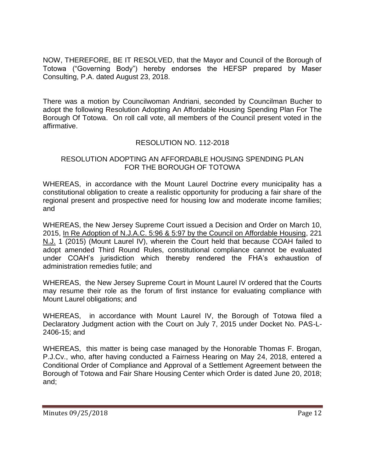NOW, THEREFORE, BE IT RESOLVED, that the Mayor and Council of the Borough of Totowa ("Governing Body") hereby endorses the HEFSP prepared by Maser Consulting, P.A. dated August 23, 2018.

There was a motion by Councilwoman Andriani, seconded by Councilman Bucher to adopt the following Resolution Adopting An Affordable Housing Spending Plan For The Borough Of Totowa. On roll call vote, all members of the Council present voted in the affirmative.

## RESOLUTION NO. 112-2018

#### RESOLUTION ADOPTING AN AFFORDABLE HOUSING SPENDING PLAN FOR THE BOROUGH OF TOTOWA

WHEREAS, in accordance with the Mount Laurel Doctrine every municipality has a constitutional obligation to create a realistic opportunity for producing a fair share of the regional present and prospective need for housing low and moderate income families; and

WHEREAS, the New Jersey Supreme Court issued a Decision and Order on March 10, 2015, In Re Adoption of N.J.A.C. 5:96 & 5:97 by the Council on Affordable Housing, 221 N.J. 1 (2015) (Mount Laurel IV), wherein the Court held that because COAH failed to adopt amended Third Round Rules, constitutional compliance cannot be evaluated under COAH's jurisdiction which thereby rendered the FHA's exhaustion of administration remedies futile; and

WHEREAS, the New Jersey Supreme Court in Mount Laurel IV ordered that the Courts may resume their role as the forum of first instance for evaluating compliance with Mount Laurel obligations; and

WHEREAS, in accordance with Mount Laurel IV, the Borough of Totowa filed a Declaratory Judgment action with the Court on July 7, 2015 under Docket No. PAS-L-2406-15; and

WHEREAS, this matter is being case managed by the Honorable Thomas F. Brogan, P.J.Cv., who, after having conducted a Fairness Hearing on May 24, 2018, entered a Conditional Order of Compliance and Approval of a Settlement Agreement between the Borough of Totowa and Fair Share Housing Center which Order is dated June 20, 2018; and;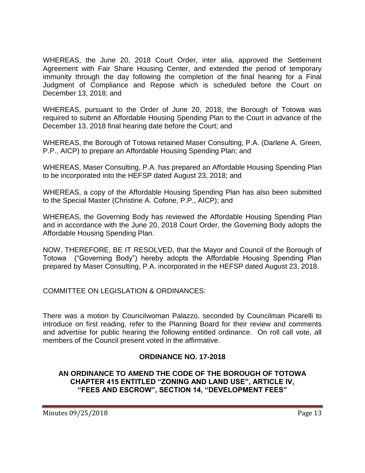WHEREAS, the June 20, 2018 Court Order, inter alia, approved the Settlement Agreement with Fair Share Housing Center, and extended the period of temporary immunity through the day following the completion of the final hearing for a Final Judgment of Compliance and Repose which is scheduled before the Court on December 13, 2018; and

WHEREAS, pursuant to the Order of June 20, 2018, the Borough of Totowa was required to submit an Affordable Housing Spending Plan to the Court in advance of the December 13, 2018 final hearing date before the Court; and

WHEREAS, the Borough of Totowa retained Maser Consulting, P.A. (Darlene A. Green, P.P., AICP) to prepare an Affordable Housing Spending Plan; and

WHEREAS, Maser Consulting, P.A. has prepared an Affordable Housing Spending Plan to be incorporated into the HEFSP dated August 23, 2018; and

WHEREAS, a copy of the Affordable Housing Spending Plan has also been submitted to the Special Master (Christine A. Cofone, P.P., AICP); and

WHEREAS, the Governing Body has reviewed the Affordable Housing Spending Plan and in accordance with the June 20, 2018 Court Order, the Governing Body adopts the Affordable Housing Spending Plan.

NOW, THEREFORE, BE IT RESOLVED, that the Mayor and Council of the Borough of Totowa ("Governing Body") hereby adopts the Affordable Housing Spending Plan prepared by Maser Consulting, P.A. incorporated in the HEFSP dated August 23, 2018.

COMMITTEE ON LEGISLATION & ORDINANCES:

There was a motion by Councilwoman Palazzo, seconded by Councilman Picarelli to introduce on first reading, refer to the Planning Board for their review and comments and advertise for public hearing the following entitled ordinance. On roll call vote, all members of the Council present voted in the affirmative.

# **ORDINANCE NO. 17-2018**

**AN ORDINANCE TO AMEND THE CODE OF THE BOROUGH OF TOTOWA CHAPTER 415 ENTITLED "ZONING AND LAND USE", ARTICLE IV, "FEES AND ESCROW", SECTION 14, "DEVELOPMENT FEES"**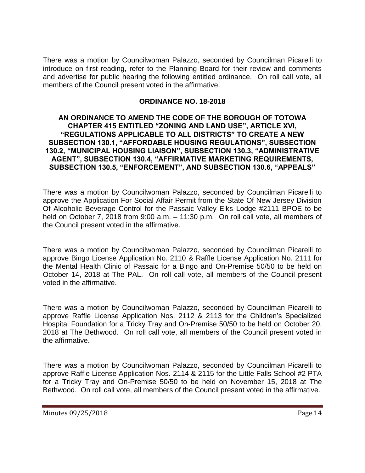There was a motion by Councilwoman Palazzo, seconded by Councilman Picarelli to introduce on first reading, refer to the Planning Board for their review and comments and advertise for public hearing the following entitled ordinance. On roll call vote, all members of the Council present voted in the affirmative.

### **ORDINANCE NO. 18-2018**

#### **AN ORDINANCE TO AMEND THE CODE OF THE BOROUGH OF TOTOWA CHAPTER 415 ENTITLED "ZONING AND LAND USE", ARTICLE XVI, "REGULATIONS APPLICABLE TO ALL DISTRICTS" TO CREATE A NEW SUBSECTION 130.1, "AFFORDABLE HOUSING REGULATIONS", SUBSECTION 130.2, "MUNICIPAL HOUSING LIAISON", SUBSECTION 130.3, "ADMINISTRATIVE AGENT", SUBSECTION 130.4, "AFFIRMATIVE MARKETING REQUIREMENTS, SUBSECTION 130.5, "ENFORCEMENT", AND SUBSECTION 130.6, "APPEALS"**

There was a motion by Councilwoman Palazzo, seconded by Councilman Picarelli to approve the Application For Social Affair Permit from the State Of New Jersey Division Of Alcoholic Beverage Control for the Passaic Valley Elks Lodge #2111 BPOE to be held on October 7, 2018 from 9:00 a.m. – 11:30 p.m. On roll call vote, all members of the Council present voted in the affirmative.

There was a motion by Councilwoman Palazzo, seconded by Councilman Picarelli to approve Bingo License Application No. 2110 & Raffle License Application No. 2111 for the Mental Health Clinic of Passaic for a Bingo and On-Premise 50/50 to be held on October 14, 2018 at The PAL. On roll call vote, all members of the Council present voted in the affirmative.

There was a motion by Councilwoman Palazzo, seconded by Councilman Picarelli to approve Raffle License Application Nos. 2112 & 2113 for the Children's Specialized Hospital Foundation for a Tricky Tray and On-Premise 50/50 to be held on October 20, 2018 at The Bethwood. On roll call vote, all members of the Council present voted in the affirmative.

There was a motion by Councilwoman Palazzo, seconded by Councilman Picarelli to approve Raffle License Application Nos. 2114 & 2115 for the Little Falls School #2 PTA for a Tricky Tray and On-Premise 50/50 to be held on November 15, 2018 at The Bethwood. On roll call vote, all members of the Council present voted in the affirmative.